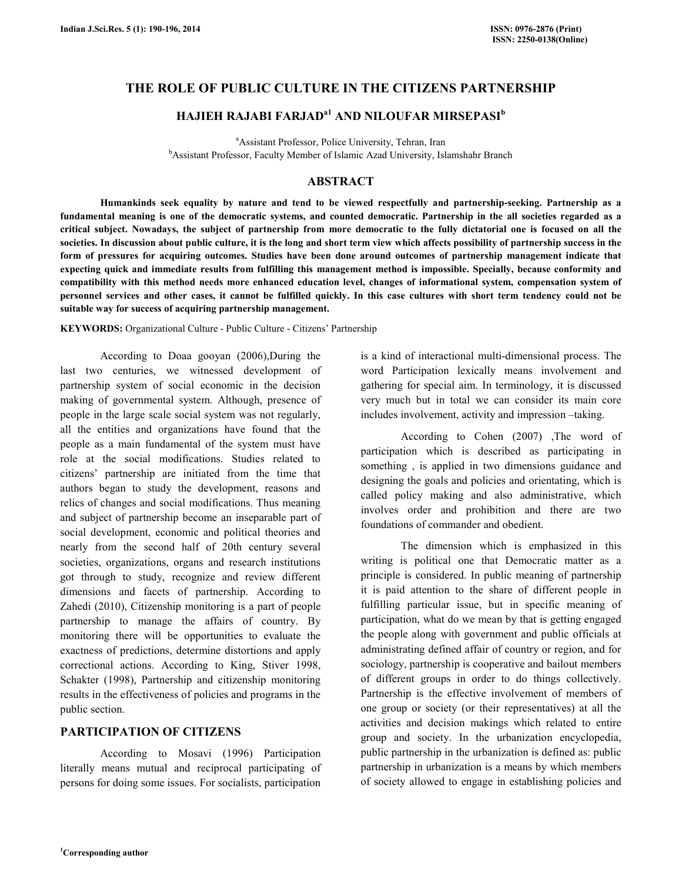## THE ROLE OF PUBLIC CULTURE IN THE CITIZENS PARTNERSHIP

# HAJIEH RAJABI FARJAD<sup>a1</sup> AND NILOUFAR MIRSEPASI<sup>b</sup>

<sup>a</sup>Assistant Professor, Police University, Tehran, Iran <sup>b</sup>Assistant Professor, Faculty Member of Islamic Azad University, Islamshahr Branch

### ABSTRACT

 Humankinds seek equality by nature and tend to be viewed respectfully and partnership-seeking. Partnership as a fundamental meaning is one of the democratic systems, and counted democratic. Partnership in the all societies regarded as a critical subject. Nowadays, the subject of partnership from more democratic to the fully dictatorial one is focused on all the societies. In discussion about public culture, it is the long and short term view which affects possibility of partnership success in the form of pressures for acquiring outcomes. Studies have been done around outcomes of partnership management indicate that expecting quick and immediate results from fulfilling this management method is impossible. Specially, because conformity and compatibility with this method needs more enhanced education level, changes of informational system, compensation system of personnel services and other cases, it cannot be fulfilled quickly. In this case cultures with short term tendency could not be suitable way for success of acquiring partnership management.

KEYWORDS: Organizational Culture - Public Culture - Citizens' Partnership

 According to Doaa gooyan (2006),During the last two centuries, we witnessed development of partnership system of social economic in the decision making of governmental system. Although, presence of people in the large scale social system was not regularly, all the entities and organizations have found that the people as a main fundamental of the system must have role at the social modifications. Studies related to citizens' partnership are initiated from the time that authors began to study the development, reasons and relics of changes and social modifications. Thus meaning and subject of partnership become an inseparable part of social development, economic and political theories and nearly from the second half of 20th century several societies, organizations, organs and research institutions got through to study, recognize and review different dimensions and facets of partnership. According to Zahedi (2010), Citizenship monitoring is a part of people partnership to manage the affairs of country. By monitoring there will be opportunities to evaluate the exactness of predictions, determine distortions and apply correctional actions. According to King, Stiver 1998, Schakter (1998), Partnership and citizenship monitoring results in the effectiveness of policies and programs in the public section.

### PARTICIPATION OF CITIZENS

 According to Mosavi (1996) Participation literally means mutual and reciprocal participating of persons for doing some issues. For socialists, participation is a kind of interactional multi-dimensional process. The word Participation lexically means involvement and gathering for special aim. In terminology, it is discussed very much but in total we can consider its main core includes involvement, activity and impression –taking.

 According to Cohen (2007) ,The word of participation which is described as participating in something , is applied in two dimensions guidance and designing the goals and policies and orientating, which is called policy making and also administrative, which involves order and prohibition and there are two foundations of commander and obedient.

 The dimension which is emphasized in this writing is political one that Democratic matter as a principle is considered. In public meaning of partnership it is paid attention to the share of different people in fulfilling particular issue, but in specific meaning of participation, what do we mean by that is getting engaged the people along with government and public officials at administrating defined affair of country or region, and for sociology, partnership is cooperative and bailout members of different groups in order to do things collectively. Partnership is the effective involvement of members of one group or society (or their representatives) at all the activities and decision makings which related to entire group and society. In the urbanization encyclopedia, public partnership in the urbanization is defined as: public partnership in urbanization is a means by which members of society allowed to engage in establishing policies and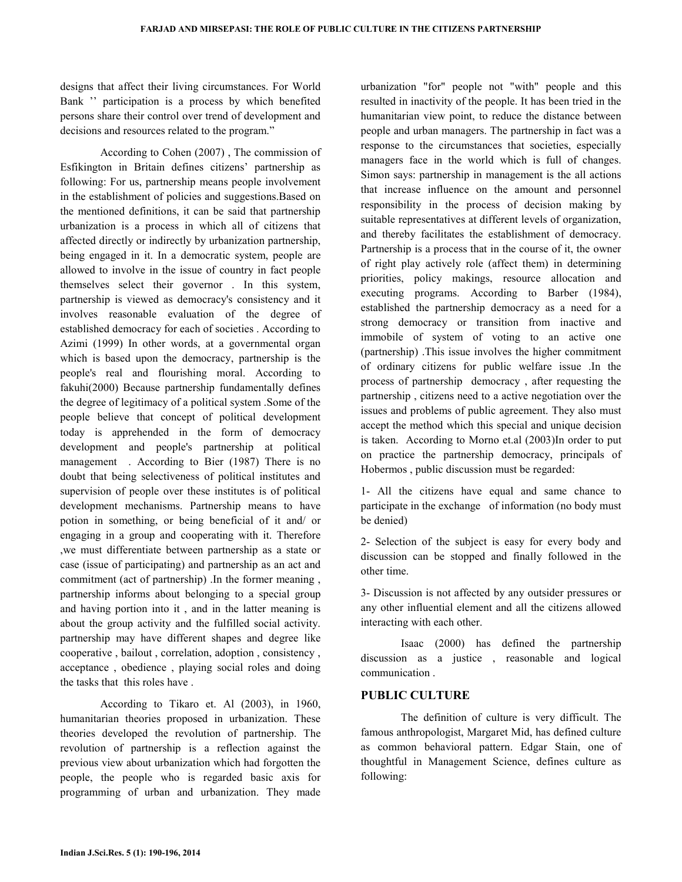designs that affect their living circumstances. For World Bank '' participation is a process by which benefited persons share their control over trend of development and decisions and resources related to the program."

 According to Cohen (2007) , The commission of Esfikington in Britain defines citizens' partnership as following: For us, partnership means people involvement in the establishment of policies and suggestions.Based on the mentioned definitions, it can be said that partnership urbanization is a process in which all of citizens that affected directly or indirectly by urbanization partnership, being engaged in it. In a democratic system, people are allowed to involve in the issue of country in fact people themselves select their governor . In this system, partnership is viewed as democracy's consistency and it involves reasonable evaluation of the degree of established democracy for each of societies . According to Azimi (1999) In other words, at a governmental organ which is based upon the democracy, partnership is the people's real and flourishing moral. According to fakuhi(2000) Because partnership fundamentally defines the degree of legitimacy of a political system .Some of the people believe that concept of political development today is apprehended in the form of democracy development and people's partnership at political management . According to Bier (1987) There is no doubt that being selectiveness of political institutes and supervision of people over these institutes is of political development mechanisms. Partnership means to have potion in something, or being beneficial of it and/ or engaging in a group and cooperating with it. Therefore ,we must differentiate between partnership as a state or case (issue of participating) and partnership as an act and commitment (act of partnership) .In the former meaning , partnership informs about belonging to a special group and having portion into it , and in the latter meaning is about the group activity and the fulfilled social activity. partnership may have different shapes and degree like cooperative , bailout , correlation, adoption , consistency , acceptance , obedience , playing social roles and doing the tasks that this roles have .

 According to Tikaro et. Al (2003), in 1960, humanitarian theories proposed in urbanization. These theories developed the revolution of partnership. The revolution of partnership is a reflection against the previous view about urbanization which had forgotten the people, the people who is regarded basic axis for programming of urban and urbanization. They made urbanization "for" people not "with" people and this resulted in inactivity of the people. It has been tried in the humanitarian view point, to reduce the distance between people and urban managers. The partnership in fact was a response to the circumstances that societies, especially managers face in the world which is full of changes. Simon says: partnership in management is the all actions that increase influence on the amount and personnel responsibility in the process of decision making by suitable representatives at different levels of organization, and thereby facilitates the establishment of democracy. Partnership is a process that in the course of it, the owner of right play actively role (affect them) in determining priorities, policy makings, resource allocation and executing programs. According to Barber (1984), established the partnership democracy as a need for a strong democracy or transition from inactive and immobile of system of voting to an active one (partnership) .This issue involves the higher commitment of ordinary citizens for public welfare issue .In the process of partnership democracy , after requesting the partnership , citizens need to a active negotiation over the issues and problems of public agreement. They also must accept the method which this special and unique decision is taken. According to Morno et.al (2003)In order to put on practice the partnership democracy, principals of Hobermos , public discussion must be regarded:

1- All the citizens have equal and same chance to participate in the exchange of information (no body must be denied)

2- Selection of the subject is easy for every body and discussion can be stopped and finally followed in the other time.

3- Discussion is not affected by any outsider pressures or any other influential element and all the citizens allowed interacting with each other.

 Isaac (2000) has defined the partnership discussion as a justice , reasonable and logical communication .

### PUBLIC CULTURE

 The definition of culture is very difficult. The famous anthropologist, Margaret Mid, has defined culture as common behavioral pattern. Edgar Stain, one of thoughtful in Management Science, defines culture as following: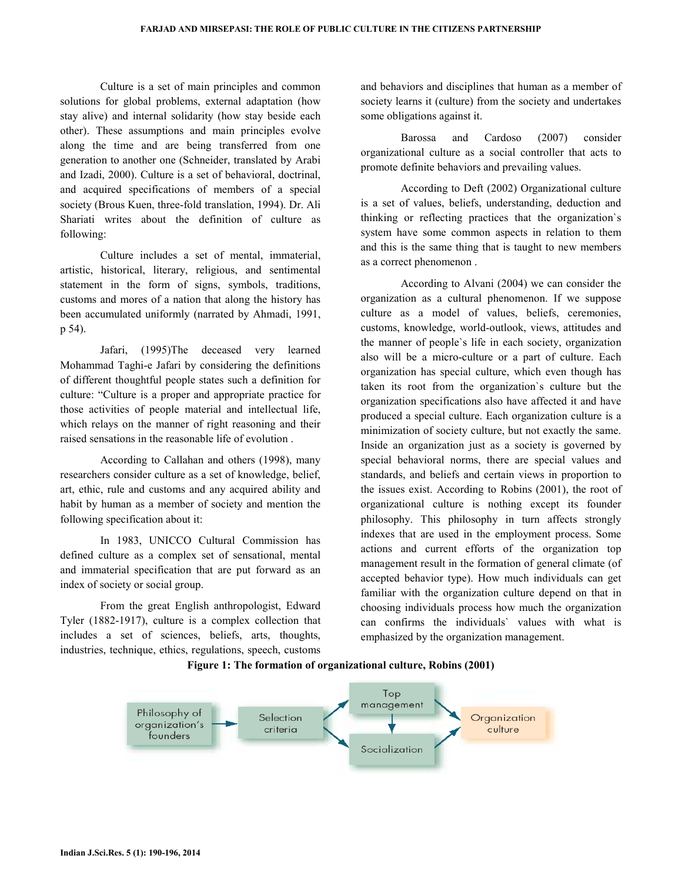Culture is a set of main principles and common solutions for global problems, external adaptation (how stay alive) and internal solidarity (how stay beside each other). These assumptions and main principles evolve along the time and are being transferred from one generation to another one (Schneider, translated by Arabi and Izadi, 2000). Culture is a set of behavioral, doctrinal, and acquired specifications of members of a special society (Brous Kuen, three-fold translation, 1994). Dr. Ali Shariati writes about the definition of culture as following:

 Culture includes a set of mental, immaterial, artistic, historical, literary, religious, and sentimental statement in the form of signs, symbols, traditions, customs and mores of a nation that along the history has been accumulated uniformly (narrated by Ahmadi, 1991, p 54).

 Jafari, (1995)The deceased very learned Mohammad Taghi-e Jafari by considering the definitions of different thoughtful people states such a definition for culture: "Culture is a proper and appropriate practice for those activities of people material and intellectual life, which relays on the manner of right reasoning and their raised sensations in the reasonable life of evolution .

 According to Callahan and others (1998), many researchers consider culture as a set of knowledge, belief, art, ethic, rule and customs and any acquired ability and habit by human as a member of society and mention the following specification about it:

 In 1983, UNICCO Cultural Commission has defined culture as a complex set of sensational, mental and immaterial specification that are put forward as an index of society or social group.

 From the great English anthropologist, Edward Tyler (1882-1917), culture is a complex collection that includes a set of sciences, beliefs, arts, thoughts, industries, technique, ethics, regulations, speech, customs and behaviors and disciplines that human as a member of society learns it (culture) from the society and undertakes some obligations against it.

 Barossa and Cardoso (2007) consider organizational culture as a social controller that acts to promote definite behaviors and prevailing values.

 According to Deft (2002) Organizational culture is a set of values, beliefs, understanding, deduction and thinking or reflecting practices that the organization`s system have some common aspects in relation to them and this is the same thing that is taught to new members as a correct phenomenon .

 According to Alvani (2004) we can consider the organization as a cultural phenomenon. If we suppose culture as a model of values, beliefs, ceremonies, customs, knowledge, world-outlook, views, attitudes and the manner of people`s life in each society, organization also will be a micro-culture or a part of culture. Each organization has special culture, which even though has taken its root from the organization`s culture but the organization specifications also have affected it and have produced a special culture. Each organization culture is a minimization of society culture, but not exactly the same. Inside an organization just as a society is governed by special behavioral norms, there are special values and standards, and beliefs and certain views in proportion to the issues exist. According to Robins (2001), the root of organizational culture is nothing except its founder philosophy. This philosophy in turn affects strongly indexes that are used in the employment process. Some actions and current efforts of the organization top management result in the formation of general climate (of accepted behavior type). How much individuals can get familiar with the organization culture depend on that in choosing individuals process how much the organization can confirms the individuals` values with what is emphasized by the organization management.

#### Figure 1: The formation of organizational culture, Robins (2001)

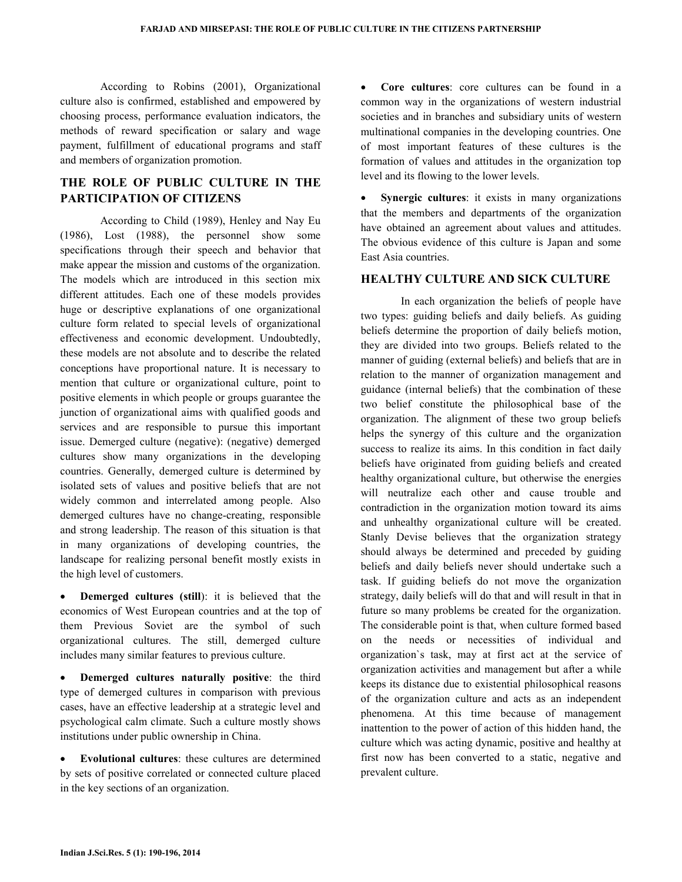According to Robins (2001), Organizational culture also is confirmed, established and empowered by choosing process, performance evaluation indicators, the methods of reward specification or salary and wage payment, fulfillment of educational programs and staff and members of organization promotion.

# THE ROLE OF PUBLIC CULTURE IN THE PARTICIPATION OF CITIZENS

 According to Child (1989), Henley and Nay Eu (1986), Lost (1988), the personnel show some specifications through their speech and behavior that make appear the mission and customs of the organization. The models which are introduced in this section mix different attitudes. Each one of these models provides huge or descriptive explanations of one organizational culture form related to special levels of organizational effectiveness and economic development. Undoubtedly, these models are not absolute and to describe the related conceptions have proportional nature. It is necessary to mention that culture or organizational culture, point to positive elements in which people or groups guarantee the junction of organizational aims with qualified goods and services and are responsible to pursue this important issue. Demerged culture (negative): (negative) demerged cultures show many organizations in the developing countries. Generally, demerged culture is determined by isolated sets of values and positive beliefs that are not widely common and interrelated among people. Also demerged cultures have no change-creating, responsible and strong leadership. The reason of this situation is that in many organizations of developing countries, the landscape for realizing personal benefit mostly exists in the high level of customers.

**Demerged cultures (still)**: it is believed that the economics of West European countries and at the top of them Previous Soviet are the symbol of such organizational cultures. The still, demerged culture includes many similar features to previous culture.

Demerged cultures naturally positive: the third type of demerged cultures in comparison with previous cases, have an effective leadership at a strategic level and psychological calm climate. Such a culture mostly shows institutions under public ownership in China.

Evolutional cultures: these cultures are determined by sets of positive correlated or connected culture placed in the key sections of an organization.

Core cultures: core cultures can be found in a common way in the organizations of western industrial societies and in branches and subsidiary units of western multinational companies in the developing countries. One of most important features of these cultures is the formation of values and attitudes in the organization top level and its flowing to the lower levels.

• Synergic cultures: it exists in many organizations that the members and departments of the organization have obtained an agreement about values and attitudes. The obvious evidence of this culture is Japan and some East Asia countries.

### HEALTHY CULTURE AND SICK CULTURE

 In each organization the beliefs of people have two types: guiding beliefs and daily beliefs. As guiding beliefs determine the proportion of daily beliefs motion, they are divided into two groups. Beliefs related to the manner of guiding (external beliefs) and beliefs that are in relation to the manner of organization management and guidance (internal beliefs) that the combination of these two belief constitute the philosophical base of the organization. The alignment of these two group beliefs helps the synergy of this culture and the organization success to realize its aims. In this condition in fact daily beliefs have originated from guiding beliefs and created healthy organizational culture, but otherwise the energies will neutralize each other and cause trouble and contradiction in the organization motion toward its aims and unhealthy organizational culture will be created. Stanly Devise believes that the organization strategy should always be determined and preceded by guiding beliefs and daily beliefs never should undertake such a task. If guiding beliefs do not move the organization strategy, daily beliefs will do that and will result in that in future so many problems be created for the organization. The considerable point is that, when culture formed based on the needs or necessities of individual and organization`s task, may at first act at the service of organization activities and management but after a while keeps its distance due to existential philosophical reasons of the organization culture and acts as an independent phenomena. At this time because of management inattention to the power of action of this hidden hand, the culture which was acting dynamic, positive and healthy at first now has been converted to a static, negative and prevalent culture.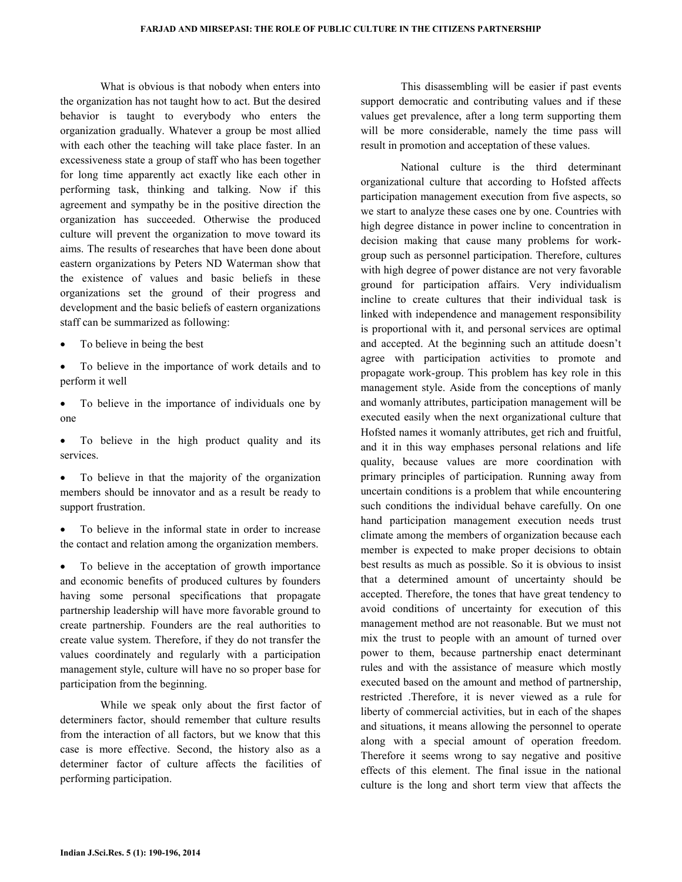What is obvious is that nobody when enters into the organization has not taught how to act. But the desired behavior is taught to everybody who enters the organization gradually. Whatever a group be most allied with each other the teaching will take place faster. In an excessiveness state a group of staff who has been together for long time apparently act exactly like each other in performing task, thinking and talking. Now if this agreement and sympathy be in the positive direction the organization has succeeded. Otherwise the produced culture will prevent the organization to move toward its aims. The results of researches that have been done about eastern organizations by Peters ND Waterman show that the existence of values and basic beliefs in these organizations set the ground of their progress and development and the basic beliefs of eastern organizations staff can be summarized as following:

- To believe in being the best
- To believe in the importance of work details and to perform it well
- To believe in the importance of individuals one by one
- To believe in the high product quality and its services.
- To believe in that the majority of the organization members should be innovator and as a result be ready to support frustration.
- To believe in the informal state in order to increase the contact and relation among the organization members.

To believe in the acceptation of growth importance and economic benefits of produced cultures by founders having some personal specifications that propagate partnership leadership will have more favorable ground to create partnership. Founders are the real authorities to create value system. Therefore, if they do not transfer the values coordinately and regularly with a participation management style, culture will have no so proper base for participation from the beginning.

 While we speak only about the first factor of determiners factor, should remember that culture results from the interaction of all factors, but we know that this case is more effective. Second, the history also as a determiner factor of culture affects the facilities of performing participation.

 This disassembling will be easier if past events support democratic and contributing values and if these values get prevalence, after a long term supporting them will be more considerable, namely the time pass will result in promotion and acceptation of these values.

 National culture is the third determinant organizational culture that according to Hofsted affects participation management execution from five aspects, so we start to analyze these cases one by one. Countries with high degree distance in power incline to concentration in decision making that cause many problems for workgroup such as personnel participation. Therefore, cultures with high degree of power distance are not very favorable ground for participation affairs. Very individualism incline to create cultures that their individual task is linked with independence and management responsibility is proportional with it, and personal services are optimal and accepted. At the beginning such an attitude doesn't agree with participation activities to promote and propagate work-group. This problem has key role in this management style. Aside from the conceptions of manly and womanly attributes, participation management will be executed easily when the next organizational culture that Hofsted names it womanly attributes, get rich and fruitful, and it in this way emphases personal relations and life quality, because values are more coordination with primary principles of participation. Running away from uncertain conditions is a problem that while encountering such conditions the individual behave carefully. On one hand participation management execution needs trust climate among the members of organization because each member is expected to make proper decisions to obtain best results as much as possible. So it is obvious to insist that a determined amount of uncertainty should be accepted. Therefore, the tones that have great tendency to avoid conditions of uncertainty for execution of this management method are not reasonable. But we must not mix the trust to people with an amount of turned over power to them, because partnership enact determinant rules and with the assistance of measure which mostly executed based on the amount and method of partnership, restricted .Therefore, it is never viewed as a rule for liberty of commercial activities, but in each of the shapes and situations, it means allowing the personnel to operate along with a special amount of operation freedom. Therefore it seems wrong to say negative and positive effects of this element. The final issue in the national culture is the long and short term view that affects the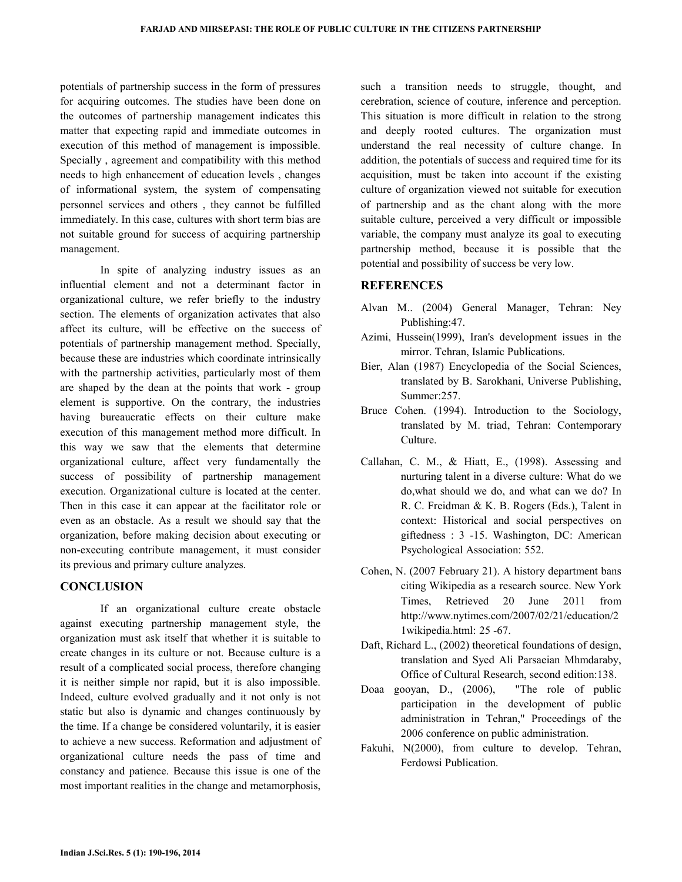potentials of partnership success in the form of pressures for acquiring outcomes. The studies have been done on the outcomes of partnership management indicates this matter that expecting rapid and immediate outcomes in execution of this method of management is impossible. Specially , agreement and compatibility with this method needs to high enhancement of education levels , changes of informational system, the system of compensating personnel services and others , they cannot be fulfilled immediately. In this case, cultures with short term bias are not suitable ground for success of acquiring partnership management.

 In spite of analyzing industry issues as an influential element and not a determinant factor in organizational culture, we refer briefly to the industry section. The elements of organization activates that also affect its culture, will be effective on the success of potentials of partnership management method. Specially, because these are industries which coordinate intrinsically with the partnership activities, particularly most of them are shaped by the dean at the points that work - group element is supportive. On the contrary, the industries having bureaucratic effects on their culture make execution of this management method more difficult. In this way we saw that the elements that determine organizational culture, affect very fundamentally the success of possibility of partnership management execution. Organizational culture is located at the center. Then in this case it can appear at the facilitator role or even as an obstacle. As a result we should say that the organization, before making decision about executing or non-executing contribute management, it must consider its previous and primary culture analyzes.

### **CONCLUSION**

 If an organizational culture create obstacle against executing partnership management style, the organization must ask itself that whether it is suitable to create changes in its culture or not. Because culture is a result of a complicated social process, therefore changing it is neither simple nor rapid, but it is also impossible. Indeed, culture evolved gradually and it not only is not static but also is dynamic and changes continuously by the time. If a change be considered voluntarily, it is easier to achieve a new success. Reformation and adjustment of organizational culture needs the pass of time and constancy and patience. Because this issue is one of the most important realities in the change and metamorphosis,

such a transition needs to struggle, thought, and cerebration, science of couture, inference and perception. This situation is more difficult in relation to the strong and deeply rooted cultures. The organization must understand the real necessity of culture change. In addition, the potentials of success and required time for its acquisition, must be taken into account if the existing culture of organization viewed not suitable for execution of partnership and as the chant along with the more suitable culture, perceived a very difficult or impossible variable, the company must analyze its goal to executing partnership method, because it is possible that the potential and possibility of success be very low.

### REFERENCES

- Alvan M.. (2004) General Manager, Tehran: Ney Publishing:47.
- Azimi, Hussein(1999), Iran's development issues in the mirror. Tehran, Islamic Publications.
- Bier, Alan (1987) Encyclopedia of the Social Sciences, translated by B. Sarokhani, Universe Publishing, Summer:257.
- Bruce Cohen. (1994). Introduction to the Sociology, translated by M. triad, Tehran: Contemporary Culture.
- Callahan, C. M., & Hiatt, E., (1998). Assessing and nurturing talent in a diverse culture: What do we do,what should we do, and what can we do? In R. C. Freidman & K. B. Rogers (Eds.), Talent in context: Historical and social perspectives on giftedness : 3 -15. Washington, DC: American Psychological Association: 552.
- Cohen, N. (2007 February 21). A history department bans citing Wikipedia as a research source. New York Times, Retrieved 20 June 2011 from http://www.nytimes.com/2007/02/21/education/2 1wikipedia.html: 25 -67.
- Daft, Richard L., (2002) theoretical foundations of design, translation and Syed Ali Parsaeian Mhmdaraby, Office of Cultural Research, second edition:138.
- Doaa gooyan, D., (2006), "The role of public participation in the development of public administration in Tehran," Proceedings of the 2006 conference on public administration.
- Fakuhi, N(2000), from culture to develop. Tehran, Ferdowsi Publication.